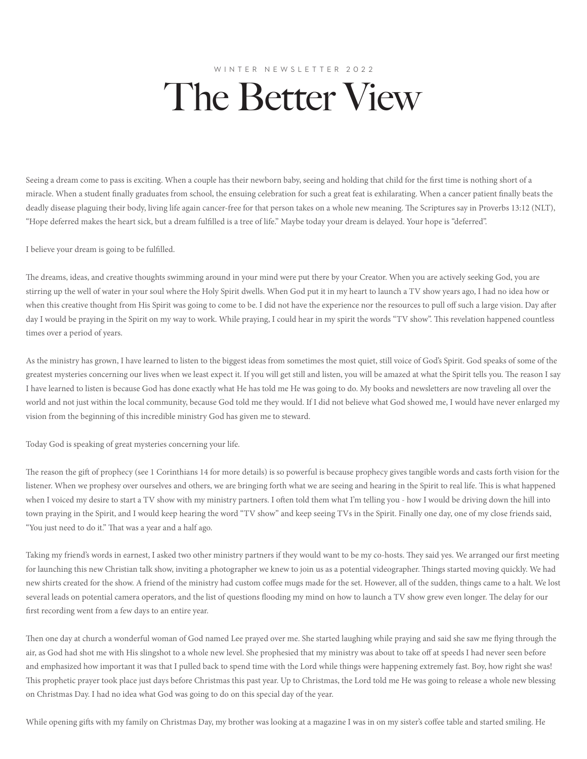## WINTER NEWSLETTER 2022 The Better View

Seeing a dream come to pass is exciting. When a couple has their newborn baby, seeing and holding that child for the first time is nothing short of a miracle. When a student finally graduates from school, the ensuing celebration for such a great feat is exhilarating. When a cancer patient finally beats the deadly disease plaguing their body, living life again cancer-free for that person takes on a whole new meaning. The Scriptures say in Proverbs 13:12 (NLT), "Hope deferred makes the heart sick, but a dream fulfilled is a tree of life." Maybe today your dream is delayed. Your hope is "deferred".

I believe your dream is going to be fulfilled.

The dreams, ideas, and creative thoughts swimming around in your mind were put there by your Creator. When you are actively seeking God, you are stirring up the well of water in your soul where the Holy Spirit dwells. When God put it in my heart to launch a TV show years ago, I had no idea how or when this creative thought from His Spirit was going to come to be. I did not have the experience nor the resources to pull off such a large vision. Day after day I would be praying in the Spirit on my way to work. While praying, I could hear in my spirit the words "TV show". This revelation happened countless times over a period of years.

As the ministry has grown, I have learned to listen to the biggest ideas from sometimes the most quiet, still voice of God's Spirit. God speaks of some of the greatest mysteries concerning our lives when we least expect it. If you will get still and listen, you will be amazed at what the Spirit tells you. The reason I say I have learned to listen is because God has done exactly what He has told me He was going to do. My books and newsletters are now traveling all over the world and not just within the local community, because God told me they would. If I did not believe what God showed me, I would have never enlarged my vision from the beginning of this incredible ministry God has given me to steward.

Today God is speaking of great mysteries concerning your life.

The reason the gift of prophecy (see 1 Corinthians 14 for more details) is so powerful is because prophecy gives tangible words and casts forth vision for the listener. When we prophesy over ourselves and others, we are bringing forth what we are seeing and hearing in the Spirit to real life. This is what happened when I voiced my desire to start a TV show with my ministry partners. I often told them what I'm telling you - how I would be driving down the hill into town praying in the Spirit, and I would keep hearing the word "TV show" and keep seeing TVs in the Spirit. Finally one day, one of my close friends said, "You just need to do it." That was a year and a half ago.

Taking my friend's words in earnest, I asked two other ministry partners if they would want to be my co-hosts. They said yes. We arranged our first meeting for launching this new Christian talk show, inviting a photographer we knew to join us as a potential videographer. Things started moving quickly. We had new shirts created for the show. A friend of the ministry had custom coffee mugs made for the set. However, all of the sudden, things came to a halt. We lost several leads on potential camera operators, and the list of questions flooding my mind on how to launch a TV show grew even longer. The delay for our first recording went from a few days to an entire year.

Then one day at church a wonderful woman of God named Lee prayed over me. She started laughing while praying and said she saw me flying through the air, as God had shot me with His slingshot to a whole new level. She prophesied that my ministry was about to take off at speeds I had never seen before and emphasized how important it was that I pulled back to spend time with the Lord while things were happening extremely fast. Boy, how right she was! This prophetic prayer took place just days before Christmas this past year. Up to Christmas, the Lord told me He was going to release a whole new blessing on Christmas Day. I had no idea what God was going to do on this special day of the year.

While opening gifts with my family on Christmas Day, my brother was looking at a magazine I was in on my sister's coffee table and started smiling. He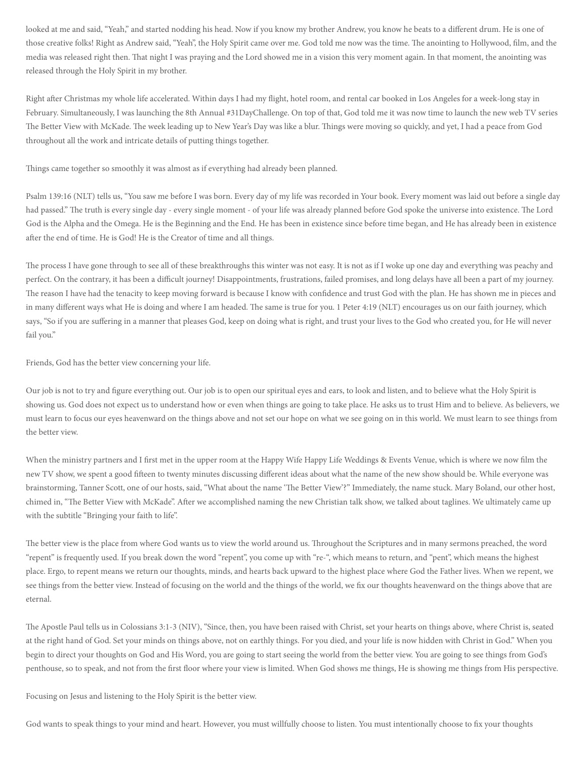looked at me and said, "Yeah," and started nodding his head. Now if you know my brother Andrew, you know he beats to a different drum. He is one of those creative folks! Right as Andrew said, "Yeah", the Holy Spirit came over me. God told me now was the time. The anointing to Hollywood, film, and the media was released right then. That night I was praying and the Lord showed me in a vision this very moment again. In that moment, the anointing was released through the Holy Spirit in my brother.

Right after Christmas my whole life accelerated. Within days I had my flight, hotel room, and rental car booked in Los Angeles for a week-long stay in February. Simultaneously, I was launching the 8th Annual #31DayChallenge. On top of that, God told me it was now time to launch the new web TV series The Better View with McKade. The week leading up to New Year's Day was like a blur. Things were moving so quickly, and yet, I had a peace from God throughout all the work and intricate details of putting things together.

Things came together so smoothly it was almost as if everything had already been planned.

Psalm 139:16 (NLT) tells us, "You saw me before I was born. Every day of my life was recorded in Your book. Every moment was laid out before a single day had passed." The truth is every single day - every single moment - of your life was already planned before God spoke the universe into existence. The Lord God is the Alpha and the Omega. He is the Beginning and the End. He has been in existence since before time began, and He has already been in existence after the end of time. He is God! He is the Creator of time and all things.

The process I have gone through to see all of these breakthroughs this winter was not easy. It is not as if I woke up one day and everything was peachy and perfect. On the contrary, it has been a difficult journey! Disappointments, frustrations, failed promises, and long delays have all been a part of my journey. The reason I have had the tenacity to keep moving forward is because I know with confidence and trust God with the plan. He has shown me in pieces and in many different ways what He is doing and where I am headed. The same is true for you. 1 Peter 4:19 (NLT) encourages us on our faith journey, which says, "So if you are suffering in a manner that pleases God, keep on doing what is right, and trust your lives to the God who created you, for He will never fail you."

Friends, God has the better view concerning your life.

Our job is not to try and figure everything out. Our job is to open our spiritual eyes and ears, to look and listen, and to believe what the Holy Spirit is showing us. God does not expect us to understand how or even when things are going to take place. He asks us to trust Him and to believe. As believers, we must learn to focus our eyes heavenward on the things above and not set our hope on what we see going on in this world. We must learn to see things from the better view.

When the ministry partners and I first met in the upper room at the Happy Wife Happy Life Weddings & Events Venue, which is where we now film the new TV show, we spent a good fifteen to twenty minutes discussing different ideas about what the name of the new show should be. While everyone was brainstorming, Tanner Scott, one of our hosts, said, "What about the name 'The Better View'?" Immediately, the name stuck. Mary Boland, our other host, chimed in, "The Better View with McKade". After we accomplished naming the new Christian talk show, we talked about taglines. We ultimately came up with the subtitle "Bringing your faith to life".

The better view is the place from where God wants us to view the world around us. Throughout the Scriptures and in many sermons preached, the word "repent" is frequently used. If you break down the word "repent", you come up with "re-", which means to return, and "pent", which means the highest place. Ergo, to repent means we return our thoughts, minds, and hearts back upward to the highest place where God the Father lives. When we repent, we see things from the better view. Instead of focusing on the world and the things of the world, we fix our thoughts heavenward on the things above that are eternal.

The Apostle Paul tells us in Colossians 3:1-3 (NIV), "Since, then, you have been raised with Christ, set your hearts on things above, where Christ is, seated at the right hand of God. Set your minds on things above, not on earthly things. For you died, and your life is now hidden with Christ in God." When you begin to direct your thoughts on God and His Word, you are going to start seeing the world from the better view. You are going to see things from God's penthouse, so to speak, and not from the first floor where your view is limited. When God shows me things, He is showing me things from His perspective.

Focusing on Jesus and listening to the Holy Spirit is the better view.

God wants to speak things to your mind and heart. However, you must willfully choose to listen. You must intentionally choose to fix your thoughts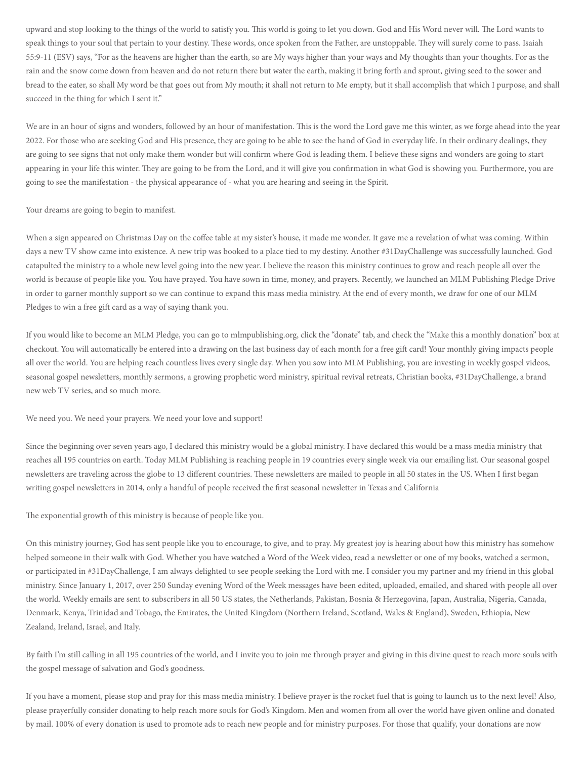upward and stop looking to the things of the world to satisfy you. This world is going to let you down. God and His Word never will. The Lord wants to speak things to your soul that pertain to your destiny. These words, once spoken from the Father, are unstoppable. They will surely come to pass. Isaiah 55:9-11 (ESV) says, "For as the heavens are higher than the earth, so are My ways higher than your ways and My thoughts than your thoughts. For as the rain and the snow come down from heaven and do not return there but water the earth, making it bring forth and sprout, giving seed to the sower and bread to the eater, so shall My word be that goes out from My mouth; it shall not return to Me empty, but it shall accomplish that which I purpose, and shall succeed in the thing for which I sent it."

We are in an hour of signs and wonders, followed by an hour of manifestation. This is the word the Lord gave me this winter, as we forge ahead into the year 2022. For those who are seeking God and His presence, they are going to be able to see the hand of God in everyday life. In their ordinary dealings, they are going to see signs that not only make them wonder but will confirm where God is leading them. I believe these signs and wonders are going to start appearing in your life this winter. They are going to be from the Lord, and it will give you confirmation in what God is showing you. Furthermore, you are going to see the manifestation - the physical appearance of - what you are hearing and seeing in the Spirit.

Your dreams are going to begin to manifest.

When a sign appeared on Christmas Day on the coffee table at my sister's house, it made me wonder. It gave me a revelation of what was coming. Within days a new TV show came into existence. A new trip was booked to a place tied to my destiny. Another #31DayChallenge was successfully launched. God catapulted the ministry to a whole new level going into the new year. I believe the reason this ministry continues to grow and reach people all over the world is because of people like you. You have prayed. You have sown in time, money, and prayers. Recently, we launched an MLM Publishing Pledge Drive in order to garner monthly support so we can continue to expand this mass media ministry. At the end of every month, we draw for one of our MLM Pledges to win a free gift card as a way of saying thank you.

If you would like to become an MLM Pledge, you can go to mlmpublishing.org, click the "donate" tab, and check the "Make this a monthly donation" box at checkout. You will automatically be entered into a drawing on the last business day of each month for a free gift card! Your monthly giving impacts people all over the world. You are helping reach countless lives every single day. When you sow into MLM Publishing, you are investing in weekly gospel videos, seasonal gospel newsletters, monthly sermons, a growing prophetic word ministry, spiritual revival retreats, Christian books, #31DayChallenge, a brand new web TV series, and so much more.

We need you. We need your prayers. We need your love and support!

Since the beginning over seven years ago, I declared this ministry would be a global ministry. I have declared this would be a mass media ministry that reaches all 195 countries on earth. Today MLM Publishing is reaching people in 19 countries every single week via our emailing list. Our seasonal gospel newsletters are traveling across the globe to 13 different countries. These newsletters are mailed to people in all 50 states in the US. When I first began writing gospel newsletters in 2014, only a handful of people received the first seasonal newsletter in Texas and California

The exponential growth of this ministry is because of people like you.

On this ministry journey, God has sent people like you to encourage, to give, and to pray. My greatest joy is hearing about how this ministry has somehow helped someone in their walk with God. Whether you have watched a Word of the Week video, read a newsletter or one of my books, watched a sermon, or participated in #31DayChallenge, I am always delighted to see people seeking the Lord with me. I consider you my partner and my friend in this global ministry. Since January 1, 2017, over 250 Sunday evening Word of the Week messages have been edited, uploaded, emailed, and shared with people all over the world. Weekly emails are sent to subscribers in all 50 US states, the Netherlands, Pakistan, Bosnia & Herzegovina, Japan, Australia, Nigeria, Canada, Denmark, Kenya, Trinidad and Tobago, the Emirates, the United Kingdom (Northern Ireland, Scotland, Wales & England), Sweden, Ethiopia, New Zealand, Ireland, Israel, and Italy.

By faith I'm still calling in all 195 countries of the world, and I invite you to join me through prayer and giving in this divine quest to reach more souls with the gospel message of salvation and God's goodness.

If you have a moment, please stop and pray for this mass media ministry. I believe prayer is the rocket fuel that is going to launch us to the next level! Also, please prayerfully consider donating to help reach more souls for God's Kingdom. Men and women from all over the world have given online and donated by mail. 100% of every donation is used to promote ads to reach new people and for ministry purposes. For those that qualify, your donations are now